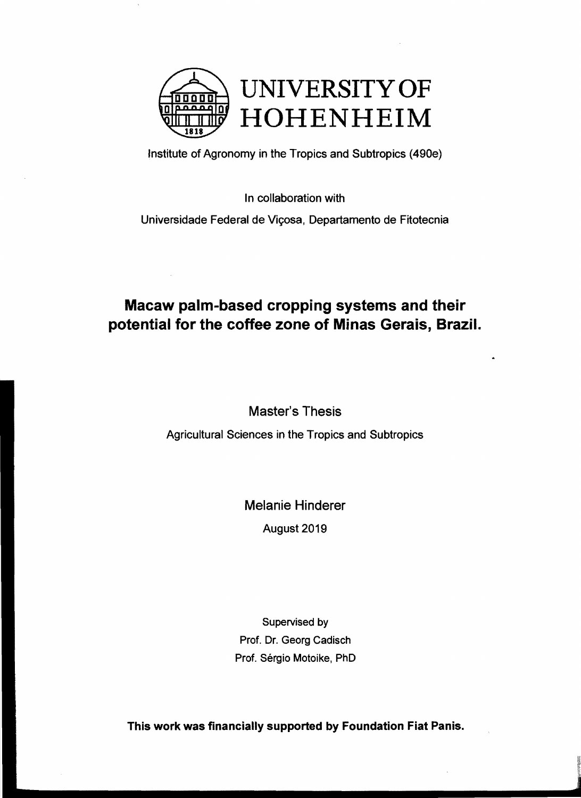

Institute of Agronomy in the Tropics and Subtropics (490e)

In collaboration with

Universidade Federal de Viçosa, Departamento de Fitotecnia

## Macaw palm-based cropping systems and their potential for the coffee zone of Minas Gerais, Brazil.

Master's Thesis

Agricultural Sciences in the Tropics and Subtropics

Melanie Hinderer

August 2019

Supervised by Prof. Dr. Georg Cadisch Prof. Sérgio Motoike, PhD

This work was financially supported by Foundation Fiat Panis.